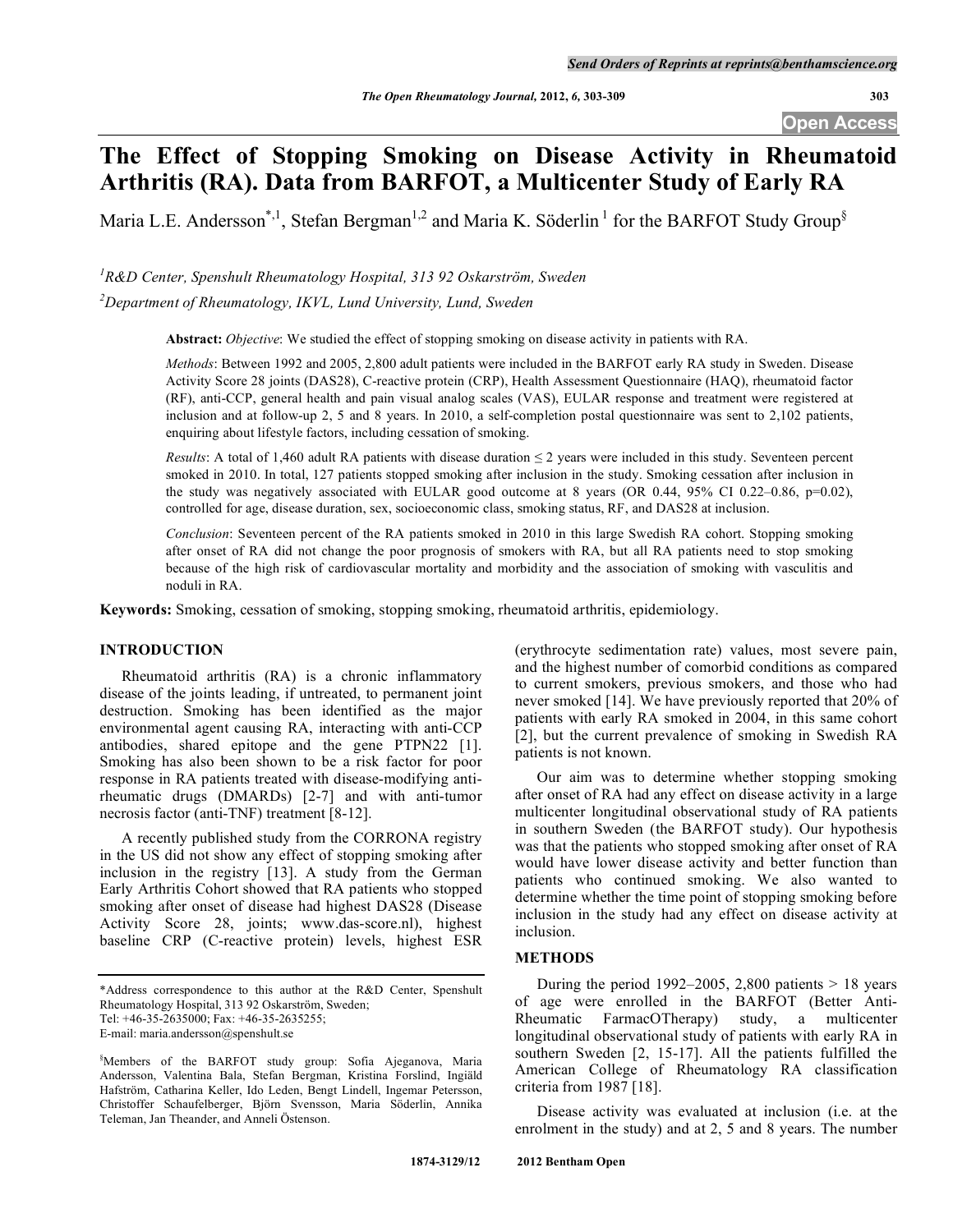# **The Effect of Stopping Smoking on Disease Activity in Rheumatoid Arthritis (RA). Data from BARFOT, a Multicenter Study of Early RA**

Maria L.E. Andersson<sup>\*,1</sup>, Stefan Bergman<sup>1,2</sup> and Maria K. Söderlin<sup>1</sup> for the BARFOT Study Group<sup>§</sup>

<sup>1</sup> R&D Center, Spenshult Rheumatology Hospital, 313 92 Oskarström, Sweden *2 Department of Rheumatology, IKVL, Lund University, Lund, Sweden* 

**Abstract:** *Objective*: We studied the effect of stopping smoking on disease activity in patients with RA.

*Methods*: Between 1992 and 2005, 2,800 adult patients were included in the BARFOT early RA study in Sweden. Disease Activity Score 28 joints (DAS28), C-reactive protein (CRP), Health Assessment Questionnaire (HAQ), rheumatoid factor (RF), anti-CCP, general health and pain visual analog scales (VAS), EULAR response and treatment were registered at inclusion and at follow-up 2, 5 and 8 years. In 2010, a self-completion postal questionnaire was sent to 2,102 patients, enquiring about lifestyle factors, including cessation of smoking.

*Results*: A total of 1,460 adult RA patients with disease duration  $\leq$  2 years were included in this study. Seventeen percent smoked in 2010. In total, 127 patients stopped smoking after inclusion in the study. Smoking cessation after inclusion in the study was negatively associated with EULAR good outcome at 8 years (OR 0.44, 95% CI 0.22–0.86, p=0.02), controlled for age, disease duration, sex, socioeconomic class, smoking status, RF, and DAS28 at inclusion.

*Conclusion*: Seventeen percent of the RA patients smoked in 2010 in this large Swedish RA cohort. Stopping smoking after onset of RA did not change the poor prognosis of smokers with RA, but all RA patients need to stop smoking because of the high risk of cardiovascular mortality and morbidity and the association of smoking with vasculitis and noduli in RA.

**Keywords:** Smoking, cessation of smoking, stopping smoking, rheumatoid arthritis, epidemiology.

# **INTRODUCTION**

 Rheumatoid arthritis (RA) is a chronic inflammatory disease of the joints leading, if untreated, to permanent joint destruction. Smoking has been identified as the major environmental agent causing RA, interacting with anti-CCP antibodies, shared epitope and the gene PTPN22 [1]. Smoking has also been shown to be a risk factor for poor response in RA patients treated with disease-modifying antirheumatic drugs (DMARDs) [2-7] and with anti-tumor necrosis factor (anti-TNF) treatment [8-12].

 A recently published study from the CORRONA registry in the US did not show any effect of stopping smoking after inclusion in the registry [13]. A study from the German Early Arthritis Cohort showed that RA patients who stopped smoking after onset of disease had highest DAS28 (Disease Activity Score 28, joints; www.das-score.nl), highest baseline CRP (C-reactive protein) levels, highest ESR

(erythrocyte sedimentation rate) values, most severe pain, and the highest number of comorbid conditions as compared to current smokers, previous smokers, and those who had never smoked [14]. We have previously reported that 20% of patients with early RA smoked in 2004, in this same cohort [2], but the current prevalence of smoking in Swedish RA patients is not known.

 Our aim was to determine whether stopping smoking after onset of RA had any effect on disease activity in a large multicenter longitudinal observational study of RA patients in southern Sweden (the BARFOT study). Our hypothesis was that the patients who stopped smoking after onset of RA would have lower disease activity and better function than patients who continued smoking. We also wanted to determine whether the time point of stopping smoking before inclusion in the study had any effect on disease activity at inclusion.

# **METHODS**

During the period 1992–2005, 2,800 patients  $> 18$  years of age were enrolled in the BARFOT (Better Anti-Rheumatic FarmacOTherapy) study, a multicenter longitudinal observational study of patients with early RA in southern Sweden [2, 15-17]. All the patients fulfilled the American College of Rheumatology RA classification criteria from 1987 [18].

 Disease activity was evaluated at inclusion (i.e. at the enrolment in the study) and at 2, 5 and 8 years. The number

<sup>\*</sup>Address correspondence to this author at the R&D Center, Spenshult Rheumatology Hospital, 313 92 Oskarström, Sweden;

Tel: +46-35-2635000; Fax: +46-35-2635255;

E-mail: maria.andersson@spenshult.se

<sup>§</sup> Members of the BARFOT study group: Sofia Ajeganova, Maria Andersson, Valentina Bala, Stefan Bergman, Kristina Forslind, Ingiäld Hafström, Catharina Keller, Ido Leden, Bengt Lindell, Ingemar Petersson, Christoffer Schaufelberger, Björn Svensson, Maria Söderlin, Annika Teleman, Jan Theander, and Anneli Östenson.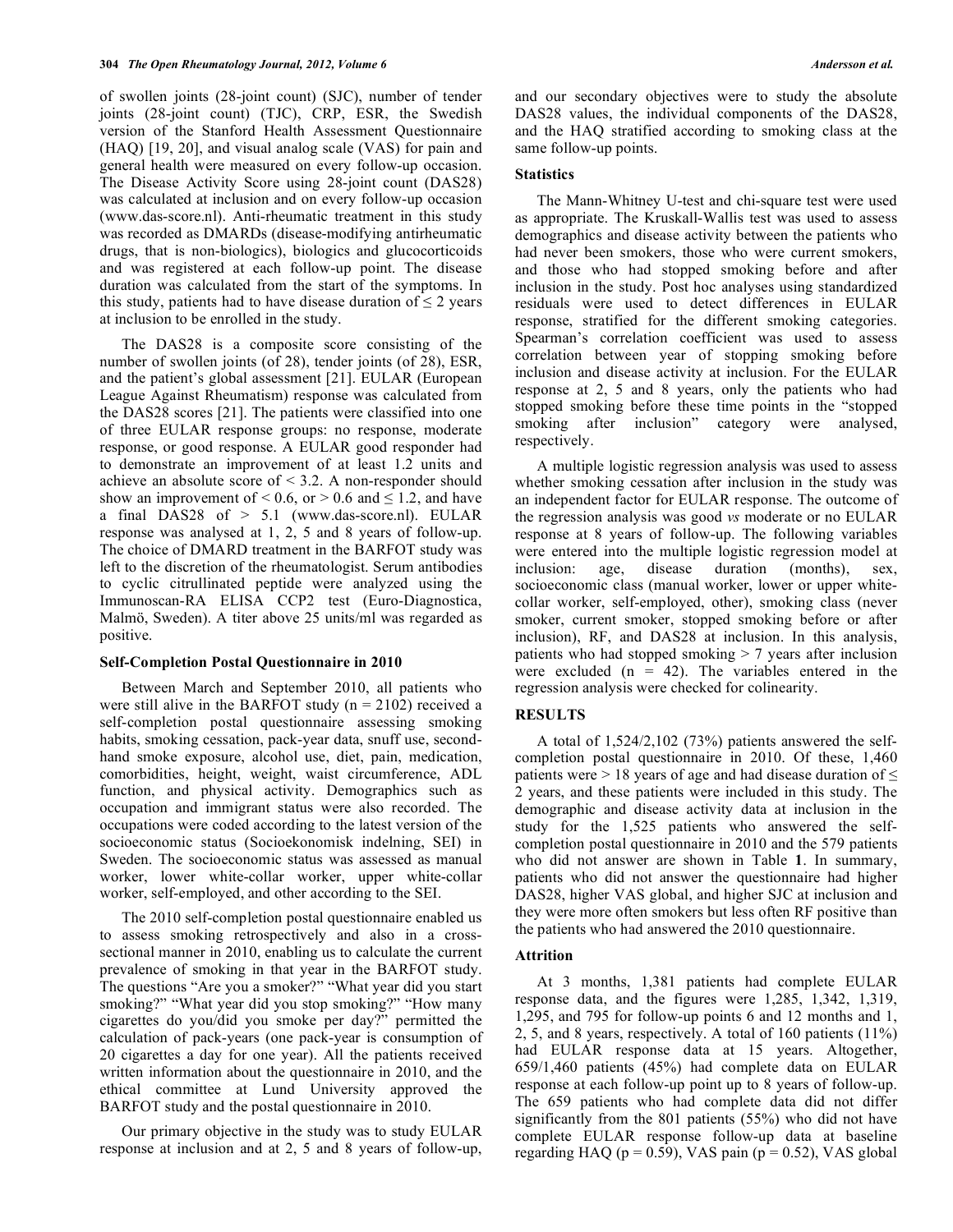of swollen joints (28-joint count) (SJC), number of tender joints (28-joint count) (TJC), CRP, ESR, the Swedish version of the Stanford Health Assessment Questionnaire (HAQ) [19, 20], and visual analog scale (VAS) for pain and general health were measured on every follow-up occasion. The Disease Activity Score using 28-joint count (DAS28) was calculated at inclusion and on every follow-up occasion (www.das-score.nl). Anti-rheumatic treatment in this study was recorded as DMARDs (disease-modifying antirheumatic drugs, that is non-biologics), biologics and glucocorticoids and was registered at each follow-up point. The disease duration was calculated from the start of the symptoms. In this study, patients had to have disease duration of  $\leq 2$  years at inclusion to be enrolled in the study.

 The DAS28 is a composite score consisting of the number of swollen joints (of 28), tender joints (of 28), ESR, and the patient's global assessment [21]. EULAR (European League Against Rheumatism) response was calculated from the DAS28 scores [21]. The patients were classified into one of three EULAR response groups: no response, moderate response, or good response. A EULAR good responder had to demonstrate an improvement of at least 1.2 units and achieve an absolute score of < 3.2. A non-responder should show an improvement of  $\leq 0.6$ , or  $\geq 0.6$  and  $\leq 1.2$ , and have a final DAS28 of  $> 5.1$  (www.das-score.nl). EULAR response was analysed at 1, 2, 5 and 8 years of follow-up. The choice of DMARD treatment in the BARFOT study was left to the discretion of the rheumatologist. Serum antibodies to cyclic citrullinated peptide were analyzed using the Immunoscan-RA ELISA CCP2 test (Euro-Diagnostica, Malmö, Sweden). A titer above 25 units/ml was regarded as positive.

## **Self-Completion Postal Questionnaire in 2010**

 Between March and September 2010, all patients who were still alive in the BARFOT study ( $n = 2102$ ) received a self-completion postal questionnaire assessing smoking habits, smoking cessation, pack-year data, snuff use, secondhand smoke exposure, alcohol use, diet, pain, medication, comorbidities, height, weight, waist circumference, ADL function, and physical activity. Demographics such as occupation and immigrant status were also recorded. The occupations were coded according to the latest version of the socioeconomic status (Socioekonomisk indelning, SEI) in Sweden. The socioeconomic status was assessed as manual worker, lower white-collar worker, upper white-collar worker, self-employed, and other according to the SEI.

 The 2010 self-completion postal questionnaire enabled us to assess smoking retrospectively and also in a crosssectional manner in 2010, enabling us to calculate the current prevalence of smoking in that year in the BARFOT study. The questions "Are you a smoker?" "What year did you start smoking?" "What year did you stop smoking?" "How many cigarettes do you/did you smoke per day?" permitted the calculation of pack-years (one pack-year is consumption of 20 cigarettes a day for one year). All the patients received written information about the questionnaire in 2010, and the ethical committee at Lund University approved the BARFOT study and the postal questionnaire in 2010.

 Our primary objective in the study was to study EULAR response at inclusion and at 2, 5 and 8 years of follow-up, and our secondary objectives were to study the absolute DAS28 values, the individual components of the DAS28, and the HAQ stratified according to smoking class at the same follow-up points.

#### **Statistics**

 The Mann-Whitney U-test and chi-square test were used as appropriate. The Kruskall-Wallis test was used to assess demographics and disease activity between the patients who had never been smokers, those who were current smokers, and those who had stopped smoking before and after inclusion in the study. Post hoc analyses using standardized residuals were used to detect differences in EULAR response, stratified for the different smoking categories. Spearman's correlation coefficient was used to assess correlation between year of stopping smoking before inclusion and disease activity at inclusion. For the EULAR response at 2, 5 and 8 years, only the patients who had stopped smoking before these time points in the "stopped smoking after inclusion" category were analysed, respectively.

 A multiple logistic regression analysis was used to assess whether smoking cessation after inclusion in the study was an independent factor for EULAR response. The outcome of the regression analysis was good *vs* moderate or no EULAR response at 8 years of follow-up. The following variables were entered into the multiple logistic regression model at inclusion: age, disease duration (months), sex, socioeconomic class (manual worker, lower or upper whitecollar worker, self-employed, other), smoking class (never smoker, current smoker, stopped smoking before or after inclusion), RF, and DAS28 at inclusion. In this analysis, patients who had stopped smoking > 7 years after inclusion were excluded  $(n = 42)$ . The variables entered in the regression analysis were checked for colinearity.

## **RESULTS**

 A total of 1,524/2,102 (73%) patients answered the selfcompletion postal questionnaire in 2010. Of these, 1,460 patients were  $> 18$  years of age and had disease duration of  $\leq$ 2 years, and these patients were included in this study. The demographic and disease activity data at inclusion in the study for the 1,525 patients who answered the selfcompletion postal questionnaire in 2010 and the 579 patients who did not answer are shown in Table **1**. In summary, patients who did not answer the questionnaire had higher DAS28, higher VAS global, and higher SJC at inclusion and they were more often smokers but less often RF positive than the patients who had answered the 2010 questionnaire.

# **Attrition**

 At 3 months, 1,381 patients had complete EULAR response data, and the figures were 1,285, 1,342, 1,319, 1,295, and 795 for follow-up points 6 and 12 months and 1, 2, 5, and 8 years, respectively. A total of 160 patients (11%) had EULAR response data at 15 years. Altogether, 659/1,460 patients (45%) had complete data on EULAR response at each follow-up point up to 8 years of follow-up. The 659 patients who had complete data did not differ significantly from the 801 patients (55%) who did not have complete EULAR response follow-up data at baseline regarding HAQ ( $p = 0.59$ ), VAS pain ( $p = 0.52$ ), VAS global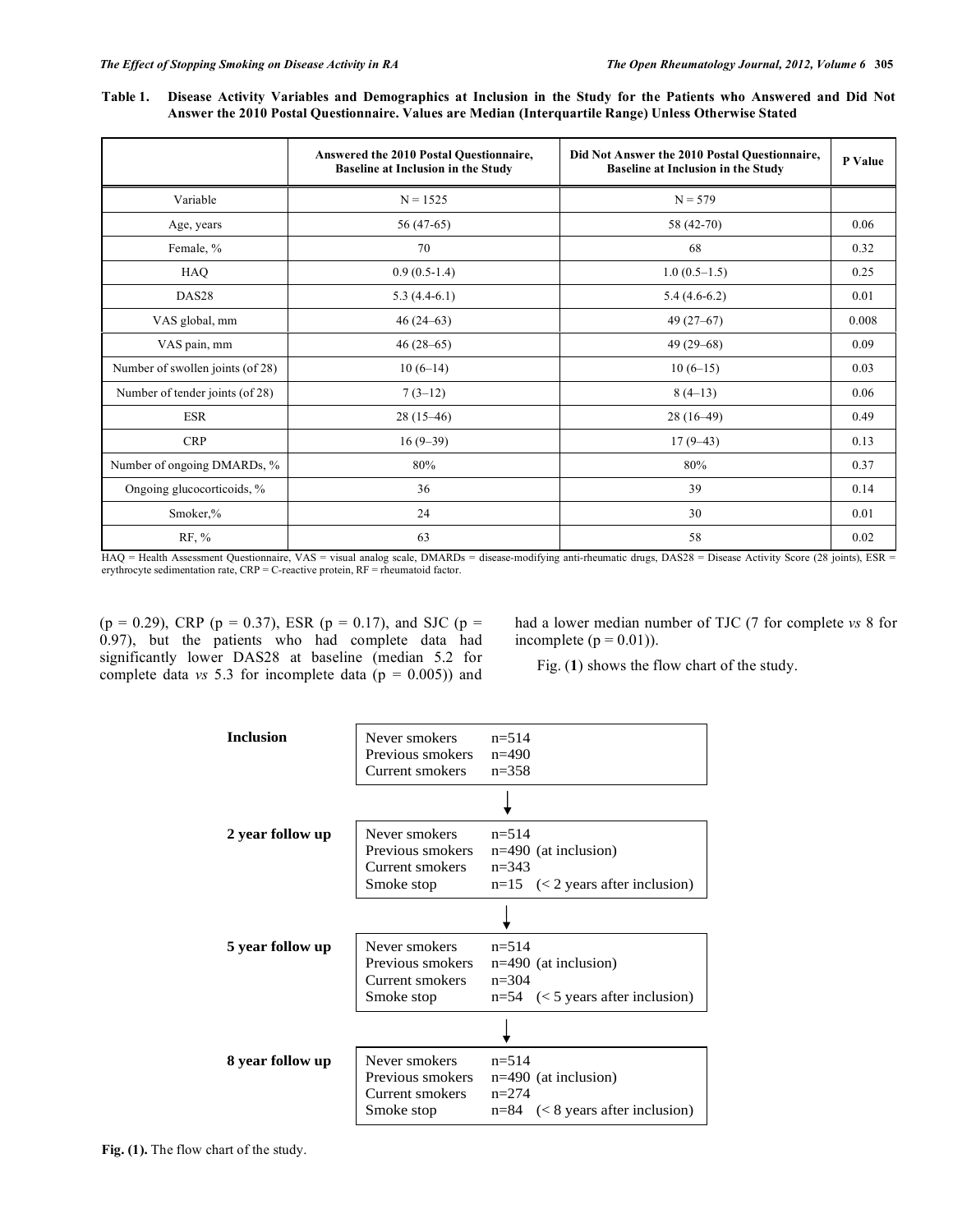**Table 1. Disease Activity Variables and Demographics at Inclusion in the Study for the Patients who Answered and Did Not Answer the 2010 Postal Questionnaire. Values are Median (Interquartile Range) Unless Otherwise Stated** 

|                                  | Answered the 2010 Postal Questionnaire,<br><b>Baseline at Inclusion in the Study</b> | Did Not Answer the 2010 Postal Questionnaire,<br><b>Baseline at Inclusion in the Study</b> | P Value |
|----------------------------------|--------------------------------------------------------------------------------------|--------------------------------------------------------------------------------------------|---------|
| Variable                         | $N = 1525$                                                                           | $N = 579$                                                                                  |         |
| Age, years                       | $56(47-65)$                                                                          | 58 (42-70)                                                                                 | 0.06    |
| Female, %                        | 70                                                                                   | 68                                                                                         | 0.32    |
| HAQ                              | $0.9(0.5-1.4)$                                                                       | $1.0(0.5-1.5)$                                                                             | 0.25    |
| DAS <sub>28</sub>                | $5.3(4.4-6.1)$                                                                       | $5.4(4.6-6.2)$                                                                             | 0.01    |
| VAS global, mm                   | $46(24-63)$                                                                          | $49(27-67)$                                                                                | 0.008   |
| VAS pain, mm                     | $46(28-65)$                                                                          | $49(29-68)$                                                                                | 0.09    |
| Number of swollen joints (of 28) | $10(6-14)$                                                                           | $10(6-15)$                                                                                 | 0.03    |
| Number of tender joints (of 28)  | $7(3-12)$                                                                            | $8(4-13)$                                                                                  | 0.06    |
| <b>ESR</b>                       | $28(15-46)$                                                                          | $28(16-49)$                                                                                | 0.49    |
| <b>CRP</b>                       | $16(9-39)$                                                                           | $17(9-43)$                                                                                 | 0.13    |
| Number of ongoing DMARDs, %      | 80%                                                                                  | 80%                                                                                        | 0.37    |
| Ongoing glucocorticoids, %       | 36                                                                                   | 39                                                                                         | 0.14    |
| Smoker,%                         | 24                                                                                   | 30                                                                                         | 0.01    |
| RF, %                            | 63                                                                                   | 58                                                                                         | 0.02    |

HAQ = Health Assessment Questionnaire, VAS = visual analog scale, DMARDs = disease-modifying anti-rheumatic drugs, DAS28 = Disease Activity Score (28 joints), ESR = erythrocyte sedimentation rate, CRP = C-reactive protein, RF = rheumatoid factor.

 $(p = 0.29)$ , CRP  $(p = 0.37)$ , ESR  $(p = 0.17)$ , and SJC  $(p = 0.17)$  $(0.97)$ , but the patients who had complete data had significantly lower DAS28 at baseline (median 5.2 for complete data  $vs$  5.3 for incomplete data ( $p = 0.005$ )) and had a lower median number of TJC (7 for complete *vs* 8 for incomplete  $(p = 0.01)$ ).

Fig. (**1**) shows the flow chart of the study.

| <b>Inclusion</b> | Never smokers<br>Previous smokers<br>Current smokers               | $n = 514$<br>$n=490$<br>$n = 358$                                                      |
|------------------|--------------------------------------------------------------------|----------------------------------------------------------------------------------------|
|                  |                                                                    |                                                                                        |
| 2 year follow up | Never smokers<br>Previous smokers<br>Current smokers<br>Smoke stop | $n=514$<br>$n=490$ (at inclusion)<br>$n = 343$<br>$n=15$ (< 2 years after inclusion)   |
|                  |                                                                    |                                                                                        |
| 5 year follow up | Never smokers<br>Previous smokers<br>Current smokers<br>Smoke stop | $n = 514$<br>$n=490$ (at inclusion)<br>$n = 304$<br>$n=54$ (< 5 years after inclusion) |
|                  |                                                                    |                                                                                        |
| 8 year follow up | Never smokers<br>Previous smokers<br>Current smokers<br>Smoke stop | $n = 514$<br>$n=490$ (at inclusion)<br>$n = 274$<br>$n=84$ (< 8 years after inclusion) |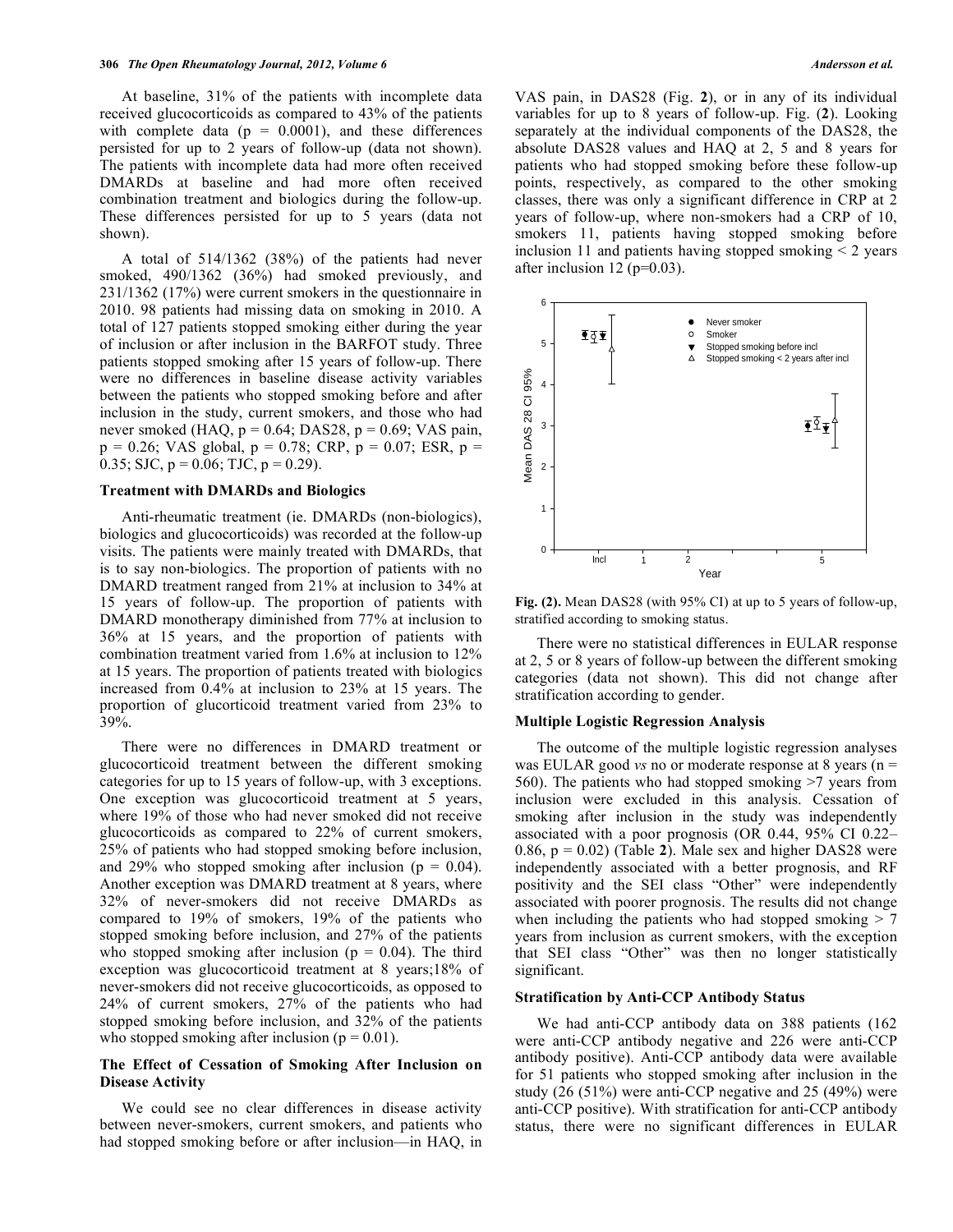At baseline, 31% of the patients with incomplete data received glucocorticoids as compared to 43% of the patients with complete data ( $p = 0.0001$ ), and these differences persisted for up to 2 years of follow-up (data not shown). The patients with incomplete data had more often received DMARDs at baseline and had more often received combination treatment and biologics during the follow-up. These differences persisted for up to 5 years (data not shown).

 A total of 514/1362 (38%) of the patients had never smoked, 490/1362 (36%) had smoked previously, and 231/1362 (17%) were current smokers in the questionnaire in 2010. 98 patients had missing data on smoking in 2010. A total of 127 patients stopped smoking either during the year of inclusion or after inclusion in the BARFOT study. Three patients stopped smoking after 15 years of follow-up. There were no differences in baseline disease activity variables between the patients who stopped smoking before and after inclusion in the study, current smokers, and those who had never smoked (HAQ,  $p = 0.64$ ; DAS28,  $p = 0.69$ ; VAS pain,  $p = 0.26$ ; VAS global,  $p = 0.78$ ; CRP,  $p = 0.07$ ; ESR,  $p =$ 0.35; SJC,  $p = 0.06$ ; TJC,  $p = 0.29$ ).

#### **Treatment with DMARDs and Biologics**

 Anti-rheumatic treatment (ie. DMARDs (non-biologics), biologics and glucocorticoids) was recorded at the follow-up visits. The patients were mainly treated with DMARDs, that is to say non-biologics. The proportion of patients with no DMARD treatment ranged from 21% at inclusion to 34% at 15 years of follow-up. The proportion of patients with DMARD monotherapy diminished from 77% at inclusion to 36% at 15 years, and the proportion of patients with combination treatment varied from 1.6% at inclusion to 12% at 15 years. The proportion of patients treated with biologics increased from 0.4% at inclusion to 23% at 15 years. The proportion of glucorticoid treatment varied from 23% to 39%.

 There were no differences in DMARD treatment or glucocorticoid treatment between the different smoking categories for up to 15 years of follow-up, with 3 exceptions. One exception was glucocorticoid treatment at 5 years, where 19% of those who had never smoked did not receive glucocorticoids as compared to 22% of current smokers, 25% of patients who had stopped smoking before inclusion, and 29% who stopped smoking after inclusion ( $p = 0.04$ ). Another exception was DMARD treatment at 8 years, where 32% of never-smokers did not receive DMARDs as compared to 19% of smokers, 19% of the patients who stopped smoking before inclusion, and 27% of the patients who stopped smoking after inclusion ( $p = 0.04$ ). The third exception was glucocorticoid treatment at 8 years;18% of never-smokers did not receive glucocorticoids, as opposed to 24% of current smokers, 27% of the patients who had stopped smoking before inclusion, and 32% of the patients who stopped smoking after inclusion ( $p = 0.01$ ).

# **The Effect of Cessation of Smoking After Inclusion on Disease Activity**

 We could see no clear differences in disease activity between never-smokers, current smokers, and patients who had stopped smoking before or after inclusion—in HAQ, in VAS pain, in DAS28 (Fig. **2**), or in any of its individual variables for up to 8 years of follow-up. Fig. (**2**). Looking separately at the individual components of the DAS28, the absolute DAS28 values and HAQ at 2, 5 and 8 years for patients who had stopped smoking before these follow-up points, respectively, as compared to the other smoking classes, there was only a significant difference in CRP at 2 years of follow-up, where non-smokers had a CRP of 10, smokers 11, patients having stopped smoking before inclusion 11 and patients having stopped smoking < 2 years after inclusion 12 ( $p=0.03$ ).



**Fig. (2).** Mean DAS28 (with 95% CI) at up to 5 years of follow-up, stratified according to smoking status.

 There were no statistical differences in EULAR response at 2, 5 or 8 years of follow-up between the different smoking categories (data not shown). This did not change after stratification according to gender.

#### **Multiple Logistic Regression Analysis**

 The outcome of the multiple logistic regression analyses was EULAR good *vs* no or moderate response at 8 years (n = 560). The patients who had stopped smoking >7 years from inclusion were excluded in this analysis. Cessation of smoking after inclusion in the study was independently associated with a poor prognosis (OR 0.44, 95% CI 0.22– 0.86,  $p = 0.02$ ) (Table 2). Male sex and higher DAS28 were independently associated with a better prognosis, and RF positivity and the SEI class "Other" were independently associated with poorer prognosis. The results did not change when including the patients who had stopped smoking  $> 7$ years from inclusion as current smokers, with the exception that SEI class "Other" was then no longer statistically significant.

#### **Stratification by Anti-CCP Antibody Status**

 We had anti-CCP antibody data on 388 patients (162 were anti-CCP antibody negative and 226 were anti-CCP antibody positive). Anti-CCP antibody data were available for 51 patients who stopped smoking after inclusion in the study (26 (51%) were anti-CCP negative and 25 (49%) were anti-CCP positive). With stratification for anti-CCP antibody status, there were no significant differences in EULAR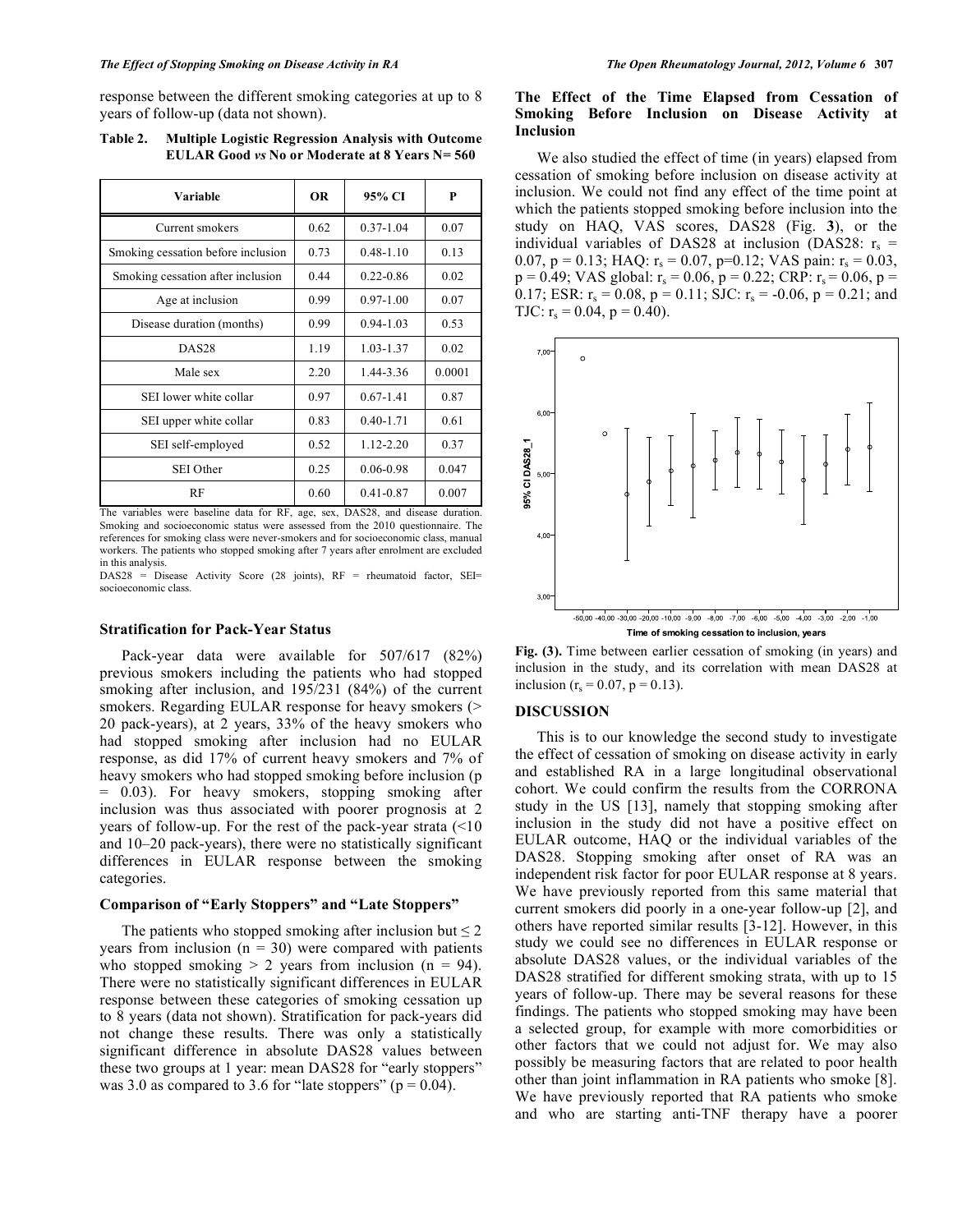response between the different smoking categories at up to 8 years of follow-up (data not shown).

| Variable                           | <b>OR</b> | 95% CI        | P      |
|------------------------------------|-----------|---------------|--------|
| Current smokers                    | 0.62      | $0.37 - 1.04$ | 0.07   |
| Smoking cessation before inclusion | 0.73      | $0.48 - 1.10$ | 0.13   |
| Smoking cessation after inclusion  | 0.44      | $0.22 - 0.86$ | 0.02   |
| Age at inclusion                   | 0.99      | $0.97 - 1.00$ | 0.07   |
| Disease duration (months)          | 0.99      | $0.94 - 1.03$ | 0.53   |
| DAS <sub>28</sub>                  | 1.19      | 1.03-1.37     | 0.02   |
| Male sex                           | 2.20      | 1.44-3.36     | 0.0001 |
| SEI lower white collar             | 0.97      | $0.67 - 1.41$ | 0.87   |
| SEI upper white collar             | 0.83      | $0.40 - 1.71$ | 0.61   |
| SEI self-employed                  | 0.52      | $1.12 - 2.20$ | 0.37   |
| SEI Other                          | 0.25      | 0.06-0.98     | 0.047  |
| RF                                 | 0.60      | $0.41 - 0.87$ | 0.007  |

**Table 2. Multiple Logistic Regression Analysis with Outcome EULAR Good** *vs* **No or Moderate at 8 Years N= 560** 

The variables were baseline data for RF, age, sex, DAS28, and disease duration. Smoking and socioeconomic status were assessed from the 2010 questionnaire. The references for smoking class were never-smokers and for socioeconomic class, manual workers. The patients who stopped smoking after 7 years after enrolment are excluded in this analysis.

DAS28 = Disease Activity Score (28 joints), RF = rheumatoid factor, SEI= socioeconomic class.

## **Stratification for Pack-Year Status**

 Pack-year data were available for 507/617 (82%) previous smokers including the patients who had stopped smoking after inclusion, and 195/231 (84%) of the current smokers. Regarding EULAR response for heavy smokers (> 20 pack-years), at 2 years, 33% of the heavy smokers who had stopped smoking after inclusion had no EULAR response, as did 17% of current heavy smokers and 7% of heavy smokers who had stopped smoking before inclusion (p = 0.03). For heavy smokers, stopping smoking after inclusion was thus associated with poorer prognosis at 2 years of follow-up. For the rest of the pack-year strata (<10 and 10–20 pack-years), there were no statistically significant differences in EULAR response between the smoking categories.

# **Comparison of "Early Stoppers" and "Late Stoppers"**

The patients who stopped smoking after inclusion but  $\leq 2$ years from inclusion ( $n = 30$ ) were compared with patients who stopped smoking  $> 2$  years from inclusion (n = 94). There were no statistically significant differences in EULAR response between these categories of smoking cessation up to 8 years (data not shown). Stratification for pack-years did not change these results. There was only a statistically significant difference in absolute DAS28 values between these two groups at 1 year: mean DAS28 for "early stoppers" was 3.0 as compared to 3.6 for "late stoppers" ( $p = 0.04$ ).

# **The Effect of the Time Elapsed from Cessation of Smoking Before Inclusion on Disease Activity at Inclusion**

 We also studied the effect of time (in years) elapsed from cessation of smoking before inclusion on disease activity at inclusion. We could not find any effect of the time point at which the patients stopped smoking before inclusion into the study on HAQ, VAS scores, DAS28 (Fig. **3**), or the individual variables of DAS28 at inclusion (DAS28:  $r_s$  = 0.07, p = 0.13; HAQ:  $r_s = 0.07$ , p=0.12; VAS pain:  $r_s = 0.03$ ,  $p = 0.49$ ; VAS global:  $r_s = 0.06$ ,  $p = 0.22$ ; CRP:  $r_s = 0.06$ ,  $p =$ 0.17; ESR:  $r_s = 0.08$ ,  $p = 0.11$ ; SJC:  $r_s = -0.06$ ,  $p = 0.21$ ; and TJC:  $r_s = 0.04$ ,  $p = 0.40$ ).



**Fig. (3).** Time between earlier cessation of smoking (in years) and inclusion in the study, and its correlation with mean DAS28 at inclusion ( $r_s = 0.07$ ,  $p = 0.13$ ).

## **DISCUSSION**

 This is to our knowledge the second study to investigate the effect of cessation of smoking on disease activity in early and established RA in a large longitudinal observational cohort. We could confirm the results from the CORRONA study in the US [13], namely that stopping smoking after inclusion in the study did not have a positive effect on EULAR outcome, HAQ or the individual variables of the DAS28. Stopping smoking after onset of RA was an independent risk factor for poor EULAR response at 8 years. We have previously reported from this same material that current smokers did poorly in a one-year follow-up [2], and others have reported similar results [3-12]. However, in this study we could see no differences in EULAR response or absolute DAS28 values, or the individual variables of the DAS28 stratified for different smoking strata, with up to 15 years of follow-up. There may be several reasons for these findings. The patients who stopped smoking may have been a selected group, for example with more comorbidities or other factors that we could not adjust for. We may also possibly be measuring factors that are related to poor health other than joint inflammation in RA patients who smoke [8]. We have previously reported that RA patients who smoke and who are starting anti-TNF therapy have a poorer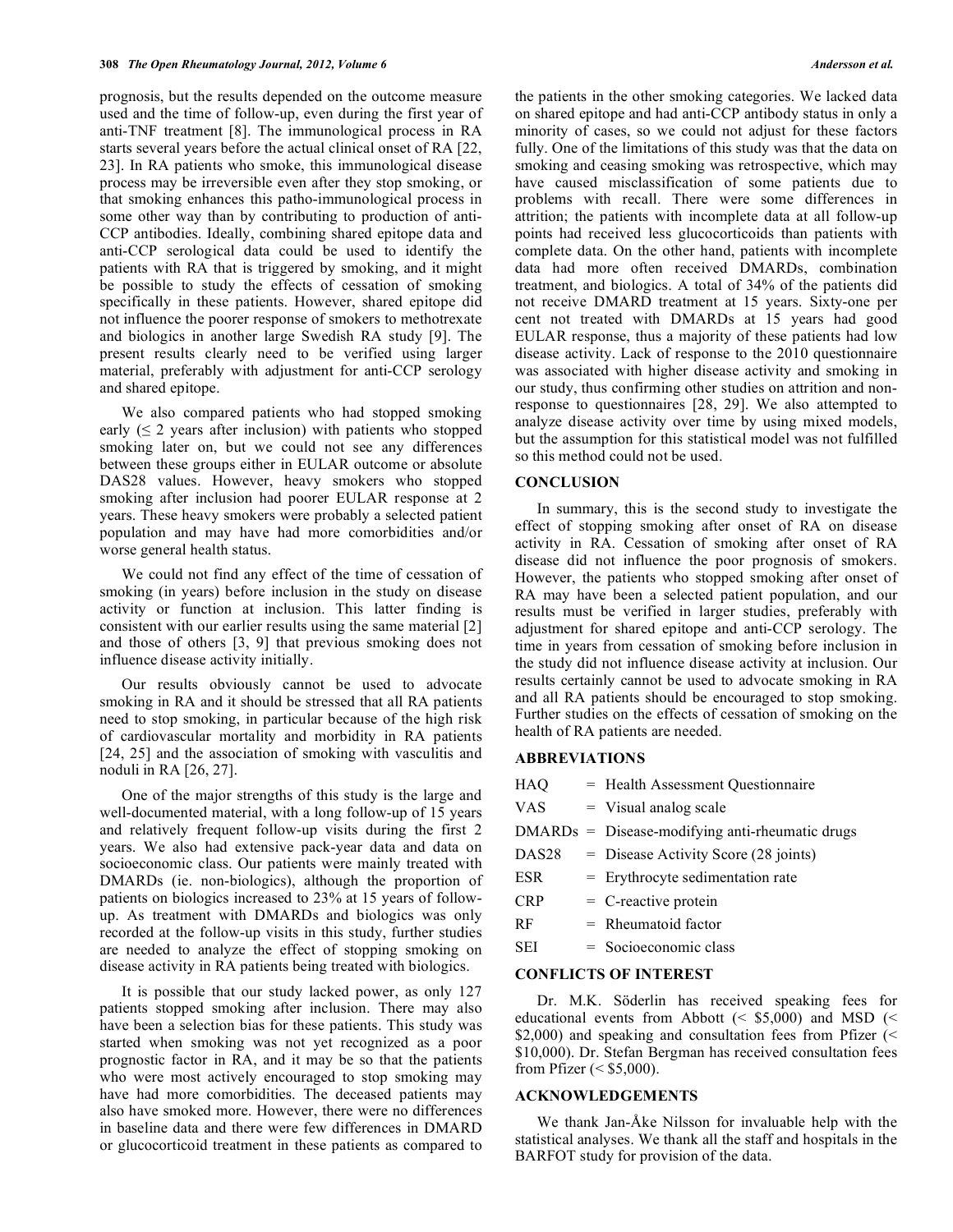prognosis, but the results depended on the outcome measure used and the time of follow-up, even during the first year of anti-TNF treatment [8]. The immunological process in RA starts several years before the actual clinical onset of RA [22, 23]. In RA patients who smoke, this immunological disease process may be irreversible even after they stop smoking, or that smoking enhances this patho-immunological process in some other way than by contributing to production of anti-CCP antibodies. Ideally, combining shared epitope data and anti-CCP serological data could be used to identify the patients with RA that is triggered by smoking, and it might be possible to study the effects of cessation of smoking specifically in these patients. However, shared epitope did not influence the poorer response of smokers to methotrexate and biologics in another large Swedish RA study [9]. The present results clearly need to be verified using larger material, preferably with adjustment for anti-CCP serology and shared epitope.

 We also compared patients who had stopped smoking early  $( \leq 2$  years after inclusion) with patients who stopped smoking later on, but we could not see any differences between these groups either in EULAR outcome or absolute DAS28 values. However, heavy smokers who stopped smoking after inclusion had poorer EULAR response at 2 years. These heavy smokers were probably a selected patient population and may have had more comorbidities and/or worse general health status.

 We could not find any effect of the time of cessation of smoking (in years) before inclusion in the study on disease activity or function at inclusion. This latter finding is consistent with our earlier results using the same material [2] and those of others [3, 9] that previous smoking does not influence disease activity initially.

 Our results obviously cannot be used to advocate smoking in RA and it should be stressed that all RA patients need to stop smoking, in particular because of the high risk of cardiovascular mortality and morbidity in RA patients [24, 25] and the association of smoking with vasculitis and noduli in RA [26, 27].

 One of the major strengths of this study is the large and well-documented material, with a long follow-up of 15 years and relatively frequent follow-up visits during the first 2 years. We also had extensive pack-year data and data on socioeconomic class. Our patients were mainly treated with DMARDs (ie. non-biologics), although the proportion of patients on biologics increased to 23% at 15 years of followup. As treatment with DMARDs and biologics was only recorded at the follow-up visits in this study, further studies are needed to analyze the effect of stopping smoking on disease activity in RA patients being treated with biologics.

 It is possible that our study lacked power, as only 127 patients stopped smoking after inclusion. There may also have been a selection bias for these patients. This study was started when smoking was not yet recognized as a poor prognostic factor in RA, and it may be so that the patients who were most actively encouraged to stop smoking may have had more comorbidities. The deceased patients may also have smoked more. However, there were no differences in baseline data and there were few differences in DMARD or glucocorticoid treatment in these patients as compared to the patients in the other smoking categories. We lacked data on shared epitope and had anti-CCP antibody status in only a minority of cases, so we could not adjust for these factors fully. One of the limitations of this study was that the data on smoking and ceasing smoking was retrospective, which may have caused misclassification of some patients due to problems with recall. There were some differences in attrition; the patients with incomplete data at all follow-up points had received less glucocorticoids than patients with complete data. On the other hand, patients with incomplete data had more often received DMARDs, combination treatment, and biologics. A total of 34% of the patients did not receive DMARD treatment at 15 years. Sixty-one per cent not treated with DMARDs at 15 years had good EULAR response, thus a majority of these patients had low disease activity. Lack of response to the 2010 questionnaire was associated with higher disease activity and smoking in our study, thus confirming other studies on attrition and nonresponse to questionnaires [28, 29]. We also attempted to analyze disease activity over time by using mixed models, but the assumption for this statistical model was not fulfilled so this method could not be used.

#### **CONCLUSION**

 In summary, this is the second study to investigate the effect of stopping smoking after onset of RA on disease activity in RA. Cessation of smoking after onset of RA disease did not influence the poor prognosis of smokers. However, the patients who stopped smoking after onset of RA may have been a selected patient population, and our results must be verified in larger studies, preferably with adjustment for shared epitope and anti-CCP serology. The time in years from cessation of smoking before inclusion in the study did not influence disease activity at inclusion. Our results certainly cannot be used to advocate smoking in RA and all RA patients should be encouraged to stop smoking. Further studies on the effects of cessation of smoking on the health of RA patients are needed.

## **ABBREVIATIONS**

| HAQ                          |  | = Health Assessment Questionnaire                 |  |
|------------------------------|--|---------------------------------------------------|--|
| <b>VAS</b>                   |  | $=$ Visual analog scale                           |  |
|                              |  | $DMARDs = Discase-modifying anti-theumatic drugs$ |  |
| DAS <sub>28</sub>            |  | $=$ Disease Activity Score (28 joints)            |  |
| <b>ESR</b>                   |  | $=$ Erythrocyte sedimentation rate                |  |
| <b>CRP</b>                   |  | $=$ C-reactive protein                            |  |
| RF                           |  | $=$ Rheumatoid factor                             |  |
| SEI                          |  | $=$ Socioeconomic class                           |  |
| <b>CONFLICTS OF INTEREST</b> |  |                                                   |  |

 Dr. M.K. Söderlin has received speaking fees for educational events from Abbott ( $\le$  \$5,000) and MSD ( $\le$ \$2,000) and speaking and consultation fees from Pfizer (< \$10,000). Dr. Stefan Bergman has received consultation fees

#### **ACKNOWLEDGEMENTS**

from Pfizer  $(<$  \$5,000).

 We thank Jan-Åke Nilsson for invaluable help with the statistical analyses. We thank all the staff and hospitals in the BARFOT study for provision of the data.